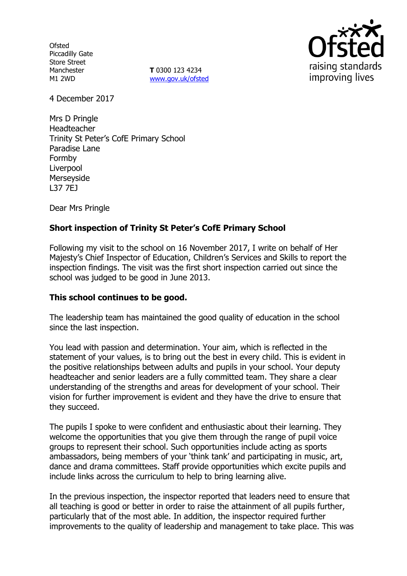**Ofsted** Piccadilly Gate Store Street Manchester M1 2WD

**T** 0300 123 4234 www.gov.uk/ofsted



4 December 2017

Mrs D Pringle Headteacher Trinity St Peter's CofE Primary School Paradise Lane Formby Liverpool Merseyside L37 7EJ

Dear Mrs Pringle

# **Short inspection of Trinity St Peter's CofE Primary School**

Following my visit to the school on 16 November 2017, I write on behalf of Her Majesty's Chief Inspector of Education, Children's Services and Skills to report the inspection findings. The visit was the first short inspection carried out since the school was judged to be good in June 2013.

### **This school continues to be good.**

The leadership team has maintained the good quality of education in the school since the last inspection.

You lead with passion and determination. Your aim, which is reflected in the statement of your values, is to bring out the best in every child. This is evident in the positive relationships between adults and pupils in your school. Your deputy headteacher and senior leaders are a fully committed team. They share a clear understanding of the strengths and areas for development of your school. Their vision for further improvement is evident and they have the drive to ensure that they succeed.

The pupils I spoke to were confident and enthusiastic about their learning. They welcome the opportunities that you give them through the range of pupil voice groups to represent their school. Such opportunities include acting as sports ambassadors, being members of your 'think tank' and participating in music, art, dance and drama committees. Staff provide opportunities which excite pupils and include links across the curriculum to help to bring learning alive.

In the previous inspection, the inspector reported that leaders need to ensure that all teaching is good or better in order to raise the attainment of all pupils further, particularly that of the most able. In addition, the inspector required further improvements to the quality of leadership and management to take place. This was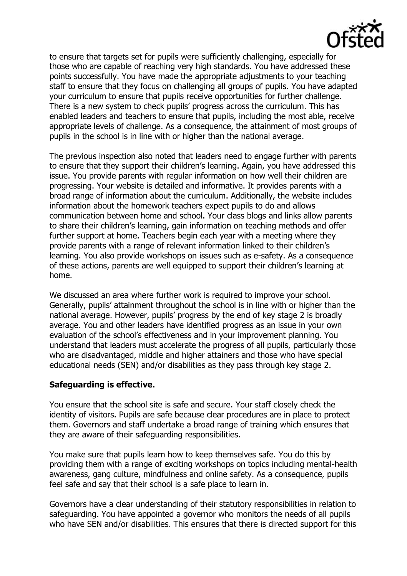

to ensure that targets set for pupils were sufficiently challenging, especially for those who are capable of reaching very high standards. You have addressed these points successfully. You have made the appropriate adjustments to your teaching staff to ensure that they focus on challenging all groups of pupils. You have adapted your curriculum to ensure that pupils receive opportunities for further challenge. There is a new system to check pupils' progress across the curriculum. This has enabled leaders and teachers to ensure that pupils, including the most able, receive appropriate levels of challenge. As a consequence, the attainment of most groups of pupils in the school is in line with or higher than the national average.

The previous inspection also noted that leaders need to engage further with parents to ensure that they support their children's learning. Again, you have addressed this issue. You provide parents with regular information on how well their children are progressing. Your website is detailed and informative. It provides parents with a broad range of information about the curriculum. Additionally, the website includes information about the homework teachers expect pupils to do and allows communication between home and school. Your class blogs and links allow parents to share their children's learning, gain information on teaching methods and offer further support at home. Teachers begin each year with a meeting where they provide parents with a range of relevant information linked to their children's learning. You also provide workshops on issues such as e-safety. As a consequence of these actions, parents are well equipped to support their children's learning at home.

We discussed an area where further work is required to improve your school. Generally, pupils' attainment throughout the school is in line with or higher than the national average. However, pupils' progress by the end of key stage 2 is broadly average. You and other leaders have identified progress as an issue in your own evaluation of the school's effectiveness and in your improvement planning. You understand that leaders must accelerate the progress of all pupils, particularly those who are disadvantaged, middle and higher attainers and those who have special educational needs (SEN) and/or disabilities as they pass through key stage 2.

### **Safeguarding is effective.**

You ensure that the school site is safe and secure. Your staff closely check the identity of visitors. Pupils are safe because clear procedures are in place to protect them. Governors and staff undertake a broad range of training which ensures that they are aware of their safeguarding responsibilities.

You make sure that pupils learn how to keep themselves safe. You do this by providing them with a range of exciting workshops on topics including mental-health awareness, gang culture, mindfulness and online safety. As a consequence, pupils feel safe and say that their school is a safe place to learn in.

Governors have a clear understanding of their statutory responsibilities in relation to safeguarding. You have appointed a governor who monitors the needs of all pupils who have SEN and/or disabilities. This ensures that there is directed support for this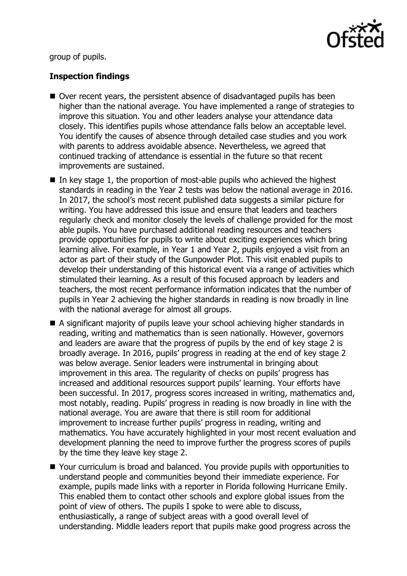

group of pupils.

# **Inspection findings**

- Over recent years, the persistent absence of disadvantaged pupils has been higher than the national average. You have implemented a range of strategies to improve this situation. You and other leaders analyse your attendance data closely. This identifies pupils whose attendance falls below an acceptable level. You identify the causes of absence through detailed case studies and you work with parents to address avoidable absence. Nevertheless, we agreed that continued tracking of attendance is essential in the future so that recent improvements are sustained.
- In key stage 1, the proportion of most-able pupils who achieved the highest standards in reading in the Year 2 tests was below the national average in 2016. In 2017, the school's most recent published data suggests a similar picture for writing. You have addressed this issue and ensure that leaders and teachers regularly check and monitor closely the levels of challenge provided for the most able pupils. You have purchased additional reading resources and teachers provide opportunities for pupils to write about exciting experiences which bring learning alive. For example, in Year 1 and Year 2, pupils enjoyed a visit from an actor as part of their study of the Gunpowder Plot. This visit enabled pupils to develop their understanding of this historical event via a range of activities which stimulated their learning. As a result of this focused approach by leaders and teachers, the most recent performance information indicates that the number of pupils in Year 2 achieving the higher standards in reading is now broadly in line with the national average for almost all groups.
- A significant majority of pupils leave your school achieving higher standards in reading, writing and mathematics than is seen nationally. However, governors and leaders are aware that the progress of pupils by the end of key stage 2 is broadly average. In 2016, pupils' progress in reading at the end of key stage 2 was below average. Senior leaders were instrumental in bringing about improvement in this area. The regularity of checks on pupils' progress has increased and additional resources support pupils' learning. Your efforts have been successful. In 2017, progress scores increased in writing, mathematics and, most notably, reading. Pupils' progress in reading is now broadly in line with the national average. You are aware that there is still room for additional improvement to increase further pupils' progress in reading, writing and mathematics. You have accurately highlighted in your most recent evaluation and development planning the need to improve further the progress scores of pupils by the time they leave key stage 2.
- Your curriculum is broad and balanced. You provide pupils with opportunities to understand people and communities beyond their immediate experience. For example, pupils made links with a reporter in Florida following Hurricane Emily. This enabled them to contact other schools and explore global issues from the point of view of others. The pupils I spoke to were able to discuss, enthusiastically, a range of subject areas with a good overall level of understanding. Middle leaders report that pupils make good progress across the